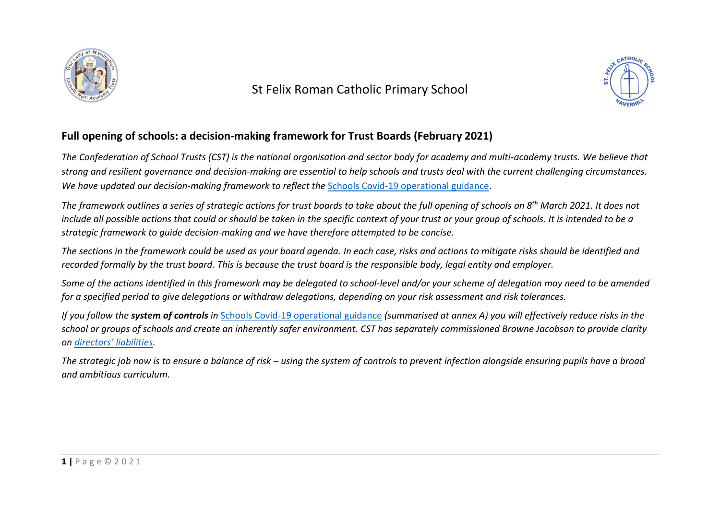

St Felix Roman Catholic Primary School



## **Full opening of schools: a decision-making framework for Trust Boards (February 2021)**

*The Confederation of School Trusts (CST) is the national organisation and sector body for academy and multi-academy trusts. We believe that strong and resilient governance and decision-making are essential to help schools and trusts deal with the current challenging circumstances. We have updated our decision-making framework to reflect the* [Schools Covid-19 operational guidance.](https://assets.publishing.service.gov.uk/government/uploads/system/uploads/attachment_data/file/963541/Schools_coronavirus_operational_guidance.pdf)

*The framework outlines a series of strategic actions for trust boards to take about the full opening of schools on 8th March 2021. It does not include all possible actions that could or should be taken in the specific context of your trust or your group of schools. It is intended to be a strategic framework to guide decision-making and we have therefore attempted to be concise.* 

*The sections in the framework could be used as your board agenda. In each case, risks and actions to mitigate risks should be identified and recorded formally by the trust board. This is because the trust board is the responsible body, legal entity and employer.*

*Some of the actions identified in this framework may be delegated to school-level and/or your scheme of delegation may need to be amended for a specified period to give delegations or withdraw delegations, depending on your risk assessment and risk tolerances.* 

*If you follow the system of controls in* [Schools Covid-19 operational guidance](https://assets.publishing.service.gov.uk/government/uploads/system/uploads/attachment_data/file/963541/Schools_coronavirus_operational_guidance.pdf) *(summarised at annex A) you will effectively reduce risks in the school or groups of schools and create an inherently safer environment. CST has separately commissioned Browne Jacobson to provide clarity on [directors' liabilities](https://cstuk.org.uk/wp-content/uploads/2020/06/BrowneJ-Personal-Liablity-of-Academy-Trust-Directors.pdf).*

*The strategic job now is to ensure a balance of risk – using the system of controls to prevent infection alongside ensuring pupils have a broad and ambitious curriculum.*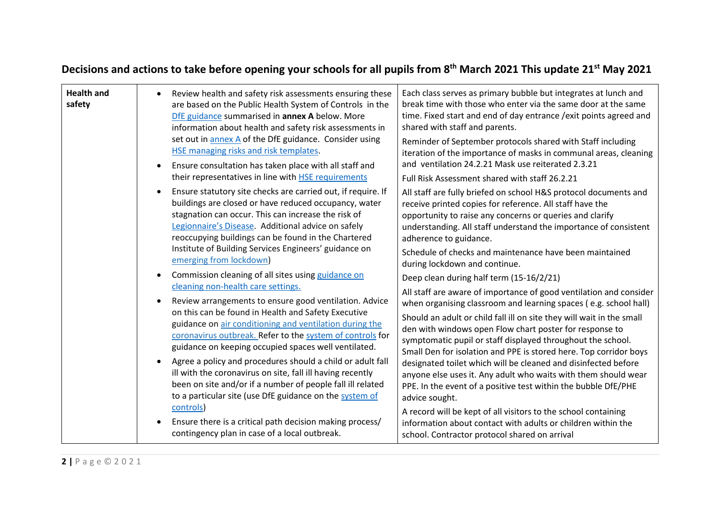## **Decisions and actions to take before opening your schools for all pupils from 8th March 2021 This update 21st May 2021**

| <b>Health and</b><br>safety | Review health and safety risk assessments ensuring these<br>are based on the Public Health System of Controls in the<br>DfE guidance summarised in annex A below. More<br>information about health and safety risk assessments in<br>set out in annex A of the DfE guidance. Consider using<br>HSE managing risks and risk templates.<br>Ensure consultation has taken place with all staff and<br>their representatives in line with <b>HSE</b> requirements                                                                                                                            | Each class serves as primary bubble but integrates at lunch and<br>break time with those who enter via the same door at the same<br>time. Fixed start and end of day entrance / exit points agreed and<br>shared with staff and parents.<br>Reminder of September protocols shared with Staff including<br>iteration of the importance of masks in communal areas, cleaning<br>and ventilation 24.2.21 Mask use reiterated 2.3.21<br>Full Risk Assessment shared with staff 26.2.21                                                                                                                                                    |
|-----------------------------|------------------------------------------------------------------------------------------------------------------------------------------------------------------------------------------------------------------------------------------------------------------------------------------------------------------------------------------------------------------------------------------------------------------------------------------------------------------------------------------------------------------------------------------------------------------------------------------|----------------------------------------------------------------------------------------------------------------------------------------------------------------------------------------------------------------------------------------------------------------------------------------------------------------------------------------------------------------------------------------------------------------------------------------------------------------------------------------------------------------------------------------------------------------------------------------------------------------------------------------|
|                             | Ensure statutory site checks are carried out, if require. If<br>buildings are closed or have reduced occupancy, water<br>stagnation can occur. This can increase the risk of<br>Legionnaire's Disease. Additional advice on safely<br>reoccupying buildings can be found in the Chartered<br>Institute of Building Services Engineers' guidance on<br>emerging from lockdown)<br>Commission cleaning of all sites using guidance on                                                                                                                                                      | All staff are fully briefed on school H&S protocol documents and<br>receive printed copies for reference. All staff have the<br>opportunity to raise any concerns or queries and clarify<br>understanding. All staff understand the importance of consistent<br>adherence to guidance.<br>Schedule of checks and maintenance have been maintained<br>during lockdown and continue.<br>Deep clean during half term (15-16/2/21)                                                                                                                                                                                                         |
|                             | cleaning non-health care settings.<br>Review arrangements to ensure good ventilation. Advice<br>on this can be found in Health and Safety Executive<br>guidance on air conditioning and ventilation during the<br>coronavirus outbreak. Refer to the system of controls for<br>guidance on keeping occupied spaces well ventilated.<br>Agree a policy and procedures should a child or adult fall<br>ill with the coronavirus on site, fall ill having recently<br>been on site and/or if a number of people fall ill related<br>to a particular site (use DfE guidance on the system of | All staff are aware of importance of good ventilation and consider<br>when organising classroom and learning spaces (e.g. school hall)<br>Should an adult or child fall ill on site they will wait in the small<br>den with windows open Flow chart poster for response to<br>symptomatic pupil or staff displayed throughout the school.<br>Small Den for isolation and PPE is stored here. Top corridor boys<br>designated toilet which will be cleaned and disinfected before<br>anyone else uses it. Any adult who waits with them should wear<br>PPE. In the event of a positive test within the bubble DfE/PHE<br>advice sought. |
|                             | controls)<br>Ensure there is a critical path decision making process/<br>contingency plan in case of a local outbreak.                                                                                                                                                                                                                                                                                                                                                                                                                                                                   | A record will be kept of all visitors to the school containing<br>information about contact with adults or children within the<br>school. Contractor protocol shared on arrival                                                                                                                                                                                                                                                                                                                                                                                                                                                        |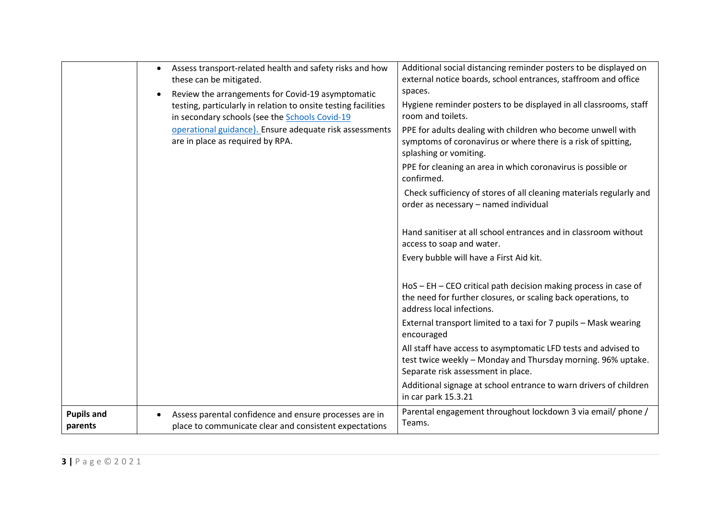|                              | Assess transport-related health and safety risks and how<br>these can be mitigated.                                                                                   | Additional social distancing reminder posters to be displayed on<br>external notice boards, school entrances, staffroom and office                                   |
|------------------------------|-----------------------------------------------------------------------------------------------------------------------------------------------------------------------|----------------------------------------------------------------------------------------------------------------------------------------------------------------------|
|                              | Review the arrangements for Covid-19 asymptomatic<br>testing, particularly in relation to onsite testing facilities<br>in secondary schools (see the Schools Covid-19 | spaces.<br>Hygiene reminder posters to be displayed in all classrooms, staff<br>room and toilets.                                                                    |
|                              | operational guidance). Ensure adequate risk assessments<br>are in place as required by RPA.                                                                           | PPE for adults dealing with children who become unwell with<br>symptoms of coronavirus or where there is a risk of spitting,<br>splashing or vomiting.               |
|                              |                                                                                                                                                                       | PPE for cleaning an area in which coronavirus is possible or<br>confirmed.                                                                                           |
|                              |                                                                                                                                                                       | Check sufficiency of stores of all cleaning materials regularly and<br>order as necessary - named individual                                                         |
|                              |                                                                                                                                                                       | Hand sanitiser at all school entrances and in classroom without<br>access to soap and water.                                                                         |
|                              |                                                                                                                                                                       | Every bubble will have a First Aid kit.                                                                                                                              |
|                              |                                                                                                                                                                       | HoS - EH - CEO critical path decision making process in case of<br>the need for further closures, or scaling back operations, to<br>address local infections.        |
|                              |                                                                                                                                                                       | External transport limited to a taxi for 7 pupils - Mask wearing<br>encouraged                                                                                       |
|                              |                                                                                                                                                                       | All staff have access to asymptomatic LFD tests and advised to<br>test twice weekly - Monday and Thursday morning. 96% uptake.<br>Separate risk assessment in place. |
|                              |                                                                                                                                                                       | Additional signage at school entrance to warn drivers of children<br>in car park 15.3.21                                                                             |
| <b>Pupils and</b><br>parents | Assess parental confidence and ensure processes are in<br>place to communicate clear and consistent expectations                                                      | Parental engagement throughout lockdown 3 via email/ phone /<br>Teams.                                                                                               |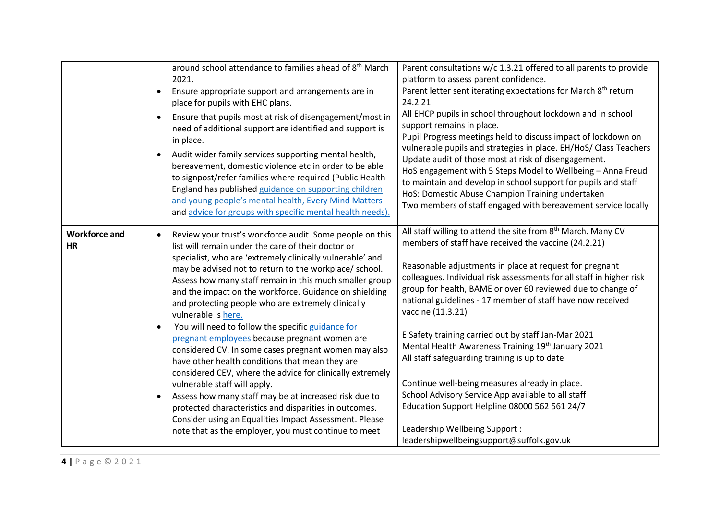|                                   | around school attendance to families ahead of 8 <sup>th</sup> March<br>2021.<br>Ensure appropriate support and arrangements are in<br>place for pupils with EHC plans.<br>Ensure that pupils most at risk of disengagement/most in<br>need of additional support are identified and support is<br>in place.<br>Audit wider family services supporting mental health,<br>bereavement, domestic violence etc in order to be able<br>to signpost/refer families where required (Public Health<br>England has published guidance on supporting children<br>and young people's mental health, Every Mind Matters<br>and advice for groups with specific mental health needs).                                                                                                                                                                                                                                                                                                                   | Parent consultations w/c 1.3.21 offered to all parents to provide<br>platform to assess parent confidence.<br>Parent letter sent iterating expectations for March 8 <sup>th</sup> return<br>24.2.21<br>All EHCP pupils in school throughout lockdown and in school<br>support remains in place.<br>Pupil Progress meetings held to discuss impact of lockdown on<br>vulnerable pupils and strategies in place. EH/HoS/ Class Teachers<br>Update audit of those most at risk of disengagement.<br>HoS engagement with 5 Steps Model to Wellbeing - Anna Freud<br>to maintain and develop in school support for pupils and staff<br>HoS: Domestic Abuse Champion Training undertaken<br>Two members of staff engaged with bereavement service locally                                                                         |
|-----------------------------------|--------------------------------------------------------------------------------------------------------------------------------------------------------------------------------------------------------------------------------------------------------------------------------------------------------------------------------------------------------------------------------------------------------------------------------------------------------------------------------------------------------------------------------------------------------------------------------------------------------------------------------------------------------------------------------------------------------------------------------------------------------------------------------------------------------------------------------------------------------------------------------------------------------------------------------------------------------------------------------------------|-----------------------------------------------------------------------------------------------------------------------------------------------------------------------------------------------------------------------------------------------------------------------------------------------------------------------------------------------------------------------------------------------------------------------------------------------------------------------------------------------------------------------------------------------------------------------------------------------------------------------------------------------------------------------------------------------------------------------------------------------------------------------------------------------------------------------------|
| <b>Workforce and</b><br><b>HR</b> | Review your trust's workforce audit. Some people on this<br>list will remain under the care of their doctor or<br>specialist, who are 'extremely clinically vulnerable' and<br>may be advised not to return to the workplace/ school.<br>Assess how many staff remain in this much smaller group<br>and the impact on the workforce. Guidance on shielding<br>and protecting people who are extremely clinically<br>vulnerable is here.<br>You will need to follow the specific guidance for<br>pregnant employees because pregnant women are<br>considered CV. In some cases pregnant women may also<br>have other health conditions that mean they are<br>considered CEV, where the advice for clinically extremely<br>vulnerable staff will apply.<br>Assess how many staff may be at increased risk due to<br>protected characteristics and disparities in outcomes.<br>Consider using an Equalities Impact Assessment. Please<br>note that as the employer, you must continue to meet | All staff willing to attend the site from 8 <sup>th</sup> March. Many CV<br>members of staff have received the vaccine (24.2.21)<br>Reasonable adjustments in place at request for pregnant<br>colleagues. Individual risk assessments for all staff in higher risk<br>group for health, BAME or over 60 reviewed due to change of<br>national guidelines - 17 member of staff have now received<br>vaccine (11.3.21)<br>E Safety training carried out by staff Jan-Mar 2021<br>Mental Health Awareness Training 19th January 2021<br>All staff safeguarding training is up to date<br>Continue well-being measures already in place.<br>School Advisory Service App available to all staff<br>Education Support Helpline 08000 562 561 24/7<br>Leadership Wellbeing Support :<br>leadershipwellbeingsupport@suffolk.gov.uk |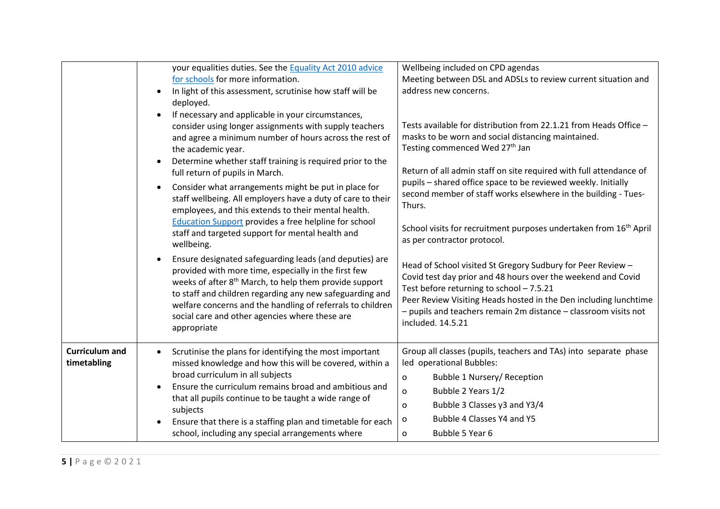|                                      | your equalities duties. See the Equality Act 2010 advice<br>for schools for more information.<br>In light of this assessment, scrutinise how staff will be<br>deployed.<br>If necessary and applicable in your circumstances,<br>consider using longer assignments with supply teachers<br>and agree a minimum number of hours across the rest of<br>the academic year.<br>Determine whether staff training is required prior to the<br>full return of pupils in March.<br>Consider what arrangements might be put in place for<br>staff wellbeing. All employers have a duty of care to their<br>employees, and this extends to their mental health.<br><b>Education Support provides a free helpline for school</b><br>staff and targeted support for mental health and<br>wellbeing. | Wellbeing included on CPD agendas<br>Meeting between DSL and ADSLs to review current situation and<br>address new concerns.<br>Tests available for distribution from 22.1.21 from Heads Office -<br>masks to be worn and social distancing maintained.<br>Testing commenced Wed 27th Jan<br>Return of all admin staff on site required with full attendance of<br>pupils - shared office space to be reviewed weekly. Initially<br>second member of staff works elsewhere in the building - Tues-<br>Thurs.<br>School visits for recruitment purposes undertaken from 16 <sup>th</sup> April<br>as per contractor protocol. |
|--------------------------------------|-----------------------------------------------------------------------------------------------------------------------------------------------------------------------------------------------------------------------------------------------------------------------------------------------------------------------------------------------------------------------------------------------------------------------------------------------------------------------------------------------------------------------------------------------------------------------------------------------------------------------------------------------------------------------------------------------------------------------------------------------------------------------------------------|-----------------------------------------------------------------------------------------------------------------------------------------------------------------------------------------------------------------------------------------------------------------------------------------------------------------------------------------------------------------------------------------------------------------------------------------------------------------------------------------------------------------------------------------------------------------------------------------------------------------------------|
|                                      | Ensure designated safeguarding leads (and deputies) are<br>provided with more time, especially in the first few<br>weeks of after 8 <sup>th</sup> March, to help them provide support<br>to staff and children regarding any new safeguarding and<br>welfare concerns and the handling of referrals to children<br>social care and other agencies where these are<br>appropriate                                                                                                                                                                                                                                                                                                                                                                                                        | Head of School visited St Gregory Sudbury for Peer Review -<br>Covid test day prior and 48 hours over the weekend and Covid<br>Test before returning to school - 7.5.21<br>Peer Review Visiting Heads hosted in the Den including lunchtime<br>- pupils and teachers remain 2m distance - classroom visits not<br>included. 14.5.21                                                                                                                                                                                                                                                                                         |
| <b>Curriculum and</b><br>timetabling | Scrutinise the plans for identifying the most important<br>$\bullet$<br>missed knowledge and how this will be covered, within a<br>broad curriculum in all subjects<br>Ensure the curriculum remains broad and ambitious and<br>that all pupils continue to be taught a wide range of<br>subjects<br>Ensure that there is a staffing plan and timetable for each<br>school, including any special arrangements where                                                                                                                                                                                                                                                                                                                                                                    | Group all classes (pupils, teachers and TAs) into separate phase<br>led operational Bubbles:<br>Bubble 1 Nursery/ Reception<br>o<br>Bubble 2 Years 1/2<br>O<br>Bubble 3 Classes y3 and Y3/4<br>0<br>Bubble 4 Classes Y4 and Y5<br>о<br>Bubble 5 Year 6<br>0                                                                                                                                                                                                                                                                                                                                                                 |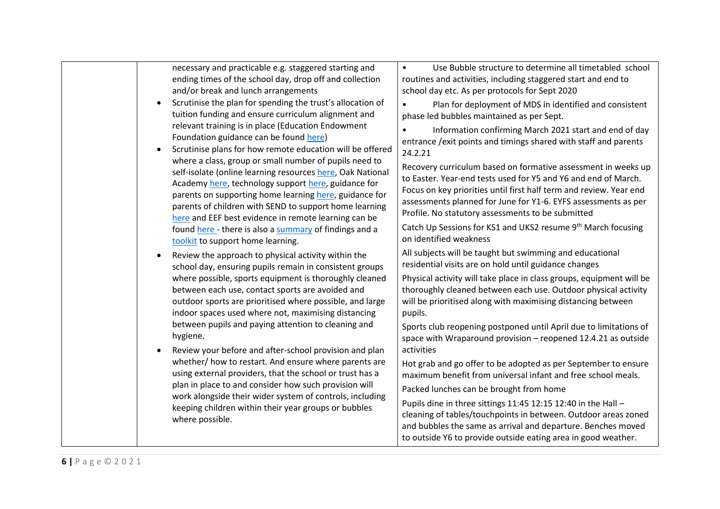| necessary and practicable e.g. staggered starting and      | Use Bubble structure to determine all timetabled school<br>$\bullet$                               |
|------------------------------------------------------------|----------------------------------------------------------------------------------------------------|
| ending times of the school day, drop off and collection    | routines and activities, including staggered start and end to                                      |
| and/or break and lunch arrangements                        | school day etc. As per protocols for Sept 2020                                                     |
| Scrutinise the plan for spending the trust's allocation of | Plan for deployment of MDS in identified and consistent<br>$\bullet$                               |
| tuition funding and ensure curriculum alignment and        | phase led bubbles maintained as per Sept.                                                          |
| relevant training is in place (Education Endowment         | Information confirming March 2021 start and end of day                                             |
| Foundation guidance can be found here)                     | entrance / exit points and timings shared with staff and parents                                   |
| Scrutinise plans for how remote education will be offered  | 24.2.21                                                                                            |
| where a class, group or small number of pupils need to     | Recovery curriculum based on formative assessment in weeks up                                      |
| self-isolate (online learning resources here, Oak National | to Easter. Year-end tests used for Y5 and Y6 and end of March.                                     |
| Academy here, technology support here, guidance for        | Focus on key priorities until first half term and review. Year end                                 |
| parents on supporting home learning here, guidance for     | assessments planned for June for Y1-6. EYFS assessments as per                                     |
| parents of children with SEND to support home learning     | Profile. No statutory assessments to be submitted                                                  |
| here and EEF best evidence in remote learning can be       |                                                                                                    |
| found here - there is also a summary of findings and a     | Catch Up Sessions for KS1 and UKS2 resume 9 <sup>th</sup> March focusing<br>on identified weakness |
| toolkit to support home learning.                          |                                                                                                    |
| Review the approach to physical activity within the        | All subjects will be taught but swimming and educational                                           |
| school day, ensuring pupils remain in consistent groups    | residential visits are on hold until guidance changes                                              |
| where possible, sports equipment is thoroughly cleaned     | Physical activity will take place in class groups, equipment will be                               |
| between each use, contact sports are avoided and           | thoroughly cleaned between each use. Outdoor physical activity                                     |
| outdoor sports are prioritised where possible, and large   | will be prioritised along with maximising distancing between                                       |
| indoor spaces used where not, maximising distancing        | pupils.                                                                                            |
| between pupils and paying attention to cleaning and        | Sports club reopening postponed until April due to limitations of                                  |
| hygiene.                                                   | space with Wraparound provision - reopened 12.4.21 as outside                                      |
| Review your before and after-school provision and plan     | activities                                                                                         |
| whether/ how to restart. And ensure where parents are      | Hot grab and go offer to be adopted as per September to ensure                                     |
| using external providers, that the school or trust has a   | maximum benefit from universal infant and free school meals.                                       |
| plan in place to and consider how such provision will      |                                                                                                    |
| work alongside their wider system of controls, including   | Packed lunches can be brought from home                                                            |
| keeping children within their year groups or bubbles       | Pupils dine in three sittings 11:45 12:15 12:40 in the Hall -                                      |
| where possible.                                            | cleaning of tables/touchpoints in between. Outdoor areas zoned                                     |
|                                                            | and bubbles the same as arrival and departure. Benches moved                                       |
|                                                            | to outside Y6 to provide outside eating area in good weather.                                      |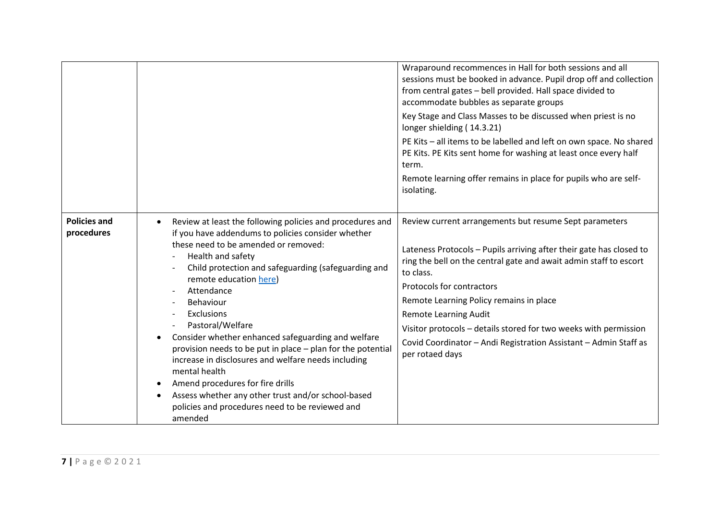|                                   |                                                                                                                                                                                                                                                                                                                                                                                                                                                                                                                                                                                                                                                                                 | Wraparound recommences in Hall for both sessions and all<br>sessions must be booked in advance. Pupil drop off and collection<br>from central gates - bell provided. Hall space divided to<br>accommodate bubbles as separate groups<br>Key Stage and Class Masses to be discussed when priest is no<br>longer shielding (14.3.21)<br>PE Kits - all items to be labelled and left on own space. No shared<br>PE Kits. PE Kits sent home for washing at least once every half<br>term.<br>Remote learning offer remains in place for pupils who are self-<br>isolating. |
|-----------------------------------|---------------------------------------------------------------------------------------------------------------------------------------------------------------------------------------------------------------------------------------------------------------------------------------------------------------------------------------------------------------------------------------------------------------------------------------------------------------------------------------------------------------------------------------------------------------------------------------------------------------------------------------------------------------------------------|------------------------------------------------------------------------------------------------------------------------------------------------------------------------------------------------------------------------------------------------------------------------------------------------------------------------------------------------------------------------------------------------------------------------------------------------------------------------------------------------------------------------------------------------------------------------|
| <b>Policies and</b><br>procedures | Review at least the following policies and procedures and<br>if you have addendums to policies consider whether<br>these need to be amended or removed:<br>Health and safety<br>Child protection and safeguarding (safeguarding and<br>remote education here)<br>Attendance<br>Behaviour<br>Exclusions<br>Pastoral/Welfare<br>Consider whether enhanced safeguarding and welfare<br>provision needs to be put in place - plan for the potential<br>increase in disclosures and welfare needs including<br>mental health<br>Amend procedures for fire drills<br>Assess whether any other trust and/or school-based<br>policies and procedures need to be reviewed and<br>amended | Review current arrangements but resume Sept parameters<br>Lateness Protocols - Pupils arriving after their gate has closed to<br>ring the bell on the central gate and await admin staff to escort<br>to class.<br>Protocols for contractors<br>Remote Learning Policy remains in place<br><b>Remote Learning Audit</b><br>Visitor protocols - details stored for two weeks with permission<br>Covid Coordinator - Andi Registration Assistant - Admin Staff as<br>per rotaed days                                                                                     |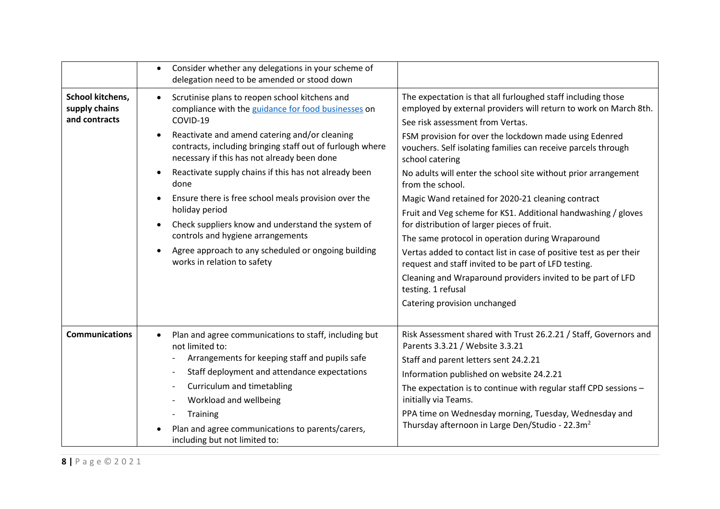|                                                    | Consider whether any delegations in your scheme of<br>$\bullet$<br>delegation need to be amended or stood down                                            |                                                                                                                                                                      |
|----------------------------------------------------|-----------------------------------------------------------------------------------------------------------------------------------------------------------|----------------------------------------------------------------------------------------------------------------------------------------------------------------------|
| School kitchens,<br>supply chains<br>and contracts | Scrutinise plans to reopen school kitchens and<br>compliance with the guidance for food businesses on<br>COVID-19                                         | The expectation is that all furloughed staff including those<br>employed by external providers will return to work on March 8th.<br>See risk assessment from Vertas. |
|                                                    | Reactivate and amend catering and/or cleaning<br>contracts, including bringing staff out of furlough where<br>necessary if this has not already been done | FSM provision for over the lockdown made using Edenred<br>vouchers. Self isolating families can receive parcels through<br>school catering                           |
|                                                    | Reactivate supply chains if this has not already been<br>done                                                                                             | No adults will enter the school site without prior arrangement<br>from the school.                                                                                   |
|                                                    | Ensure there is free school meals provision over the<br>holiday period                                                                                    | Magic Wand retained for 2020-21 cleaning contract<br>Fruit and Veg scheme for KS1. Additional handwashing / gloves                                                   |
|                                                    | Check suppliers know and understand the system of<br>controls and hygiene arrangements                                                                    | for distribution of larger pieces of fruit.<br>The same protocol in operation during Wraparound                                                                      |
|                                                    | Agree approach to any scheduled or ongoing building<br>works in relation to safety                                                                        | Vertas added to contact list in case of positive test as per their<br>request and staff invited to be part of LFD testing.                                           |
|                                                    |                                                                                                                                                           | Cleaning and Wraparound providers invited to be part of LFD<br>testing. 1 refusal                                                                                    |
|                                                    |                                                                                                                                                           | Catering provision unchanged                                                                                                                                         |
| <b>Communications</b>                              | Plan and agree communications to staff, including but<br>not limited to:                                                                                  | Risk Assessment shared with Trust 26.2.21 / Staff, Governors and<br>Parents 3.3.21 / Website 3.3.21                                                                  |
|                                                    | Arrangements for keeping staff and pupils safe                                                                                                            | Staff and parent letters sent 24.2.21                                                                                                                                |
|                                                    | Staff deployment and attendance expectations                                                                                                              | Information published on website 24.2.21                                                                                                                             |
|                                                    | Curriculum and timetabling                                                                                                                                | The expectation is to continue with regular staff CPD sessions -                                                                                                     |
|                                                    | Workload and wellbeing                                                                                                                                    | initially via Teams.                                                                                                                                                 |
|                                                    | Training                                                                                                                                                  | PPA time on Wednesday morning, Tuesday, Wednesday and                                                                                                                |
|                                                    | Plan and agree communications to parents/carers,<br>including but not limited to:                                                                         | Thursday afternoon in Large Den/Studio - 22.3m <sup>2</sup>                                                                                                          |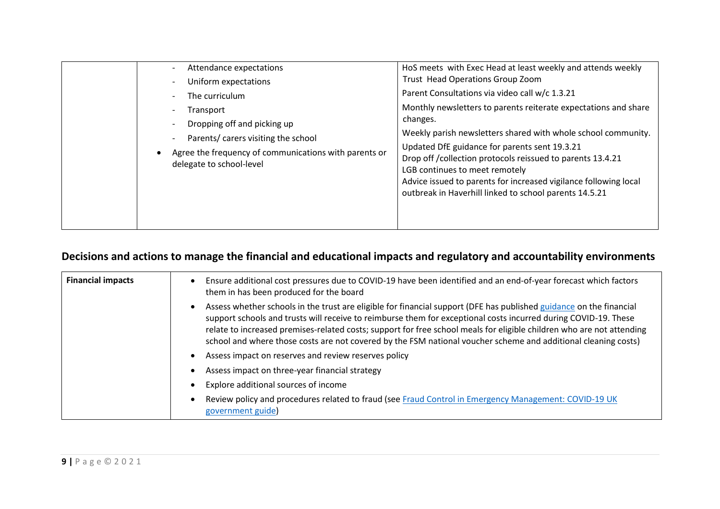| Attendance expectations<br>Uniform expectations                                                                                                                                        | HoS meets with Exec Head at least weekly and attends weekly<br>Trust Head Operations Group Zoom                                                                                                                                                                                                                                                                                                                                                                                |
|----------------------------------------------------------------------------------------------------------------------------------------------------------------------------------------|--------------------------------------------------------------------------------------------------------------------------------------------------------------------------------------------------------------------------------------------------------------------------------------------------------------------------------------------------------------------------------------------------------------------------------------------------------------------------------|
| The curriculum<br>Transport<br>Dropping off and picking up<br>Parents/ carers visiting the school<br>Agree the frequency of communications with parents or<br>delegate to school-level | Parent Consultations via video call w/c 1.3.21<br>Monthly newsletters to parents reiterate expectations and share<br>changes.<br>Weekly parish newsletters shared with whole school community.<br>Updated DfE guidance for parents sent 19.3.21<br>Drop off / collection protocols reissued to parents 13.4.21<br>LGB continues to meet remotely<br>Advice issued to parents for increased vigilance following local<br>outbreak in Haverhill linked to school parents 14.5.21 |

## **Decisions and actions to manage the financial and educational impacts and regulatory and accountability environments**

| <b>Financial impacts</b> | Ensure additional cost pressures due to COVID-19 have been identified and an end-of-year forecast which factors<br>$\bullet$<br>them in has been produced for the board                                                                                                                                                                                                                                                                                                                        |
|--------------------------|------------------------------------------------------------------------------------------------------------------------------------------------------------------------------------------------------------------------------------------------------------------------------------------------------------------------------------------------------------------------------------------------------------------------------------------------------------------------------------------------|
|                          | Assess whether schools in the trust are eligible for financial support (DFE has published guidance on the financial<br>$\bullet$<br>support schools and trusts will receive to reimburse them for exceptional costs incurred during COVID-19. These<br>relate to increased premises-related costs; support for free school meals for eligible children who are not attending<br>school and where those costs are not covered by the FSM national voucher scheme and additional cleaning costs) |
|                          | Assess impact on reserves and review reserves policy<br>$\bullet$                                                                                                                                                                                                                                                                                                                                                                                                                              |
|                          | Assess impact on three-year financial strategy<br>$\bullet$                                                                                                                                                                                                                                                                                                                                                                                                                                    |
|                          | Explore additional sources of income<br>$\bullet$                                                                                                                                                                                                                                                                                                                                                                                                                                              |
|                          | Review policy and procedures related to fraud (see Fraud Control in Emergency Management: COVID-19 UK<br>$\bullet$<br>government guide)                                                                                                                                                                                                                                                                                                                                                        |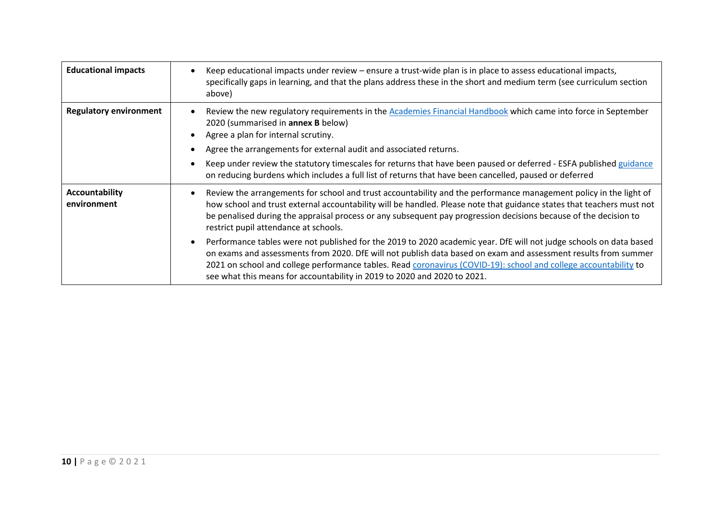| <b>Educational impacts</b>    | Keep educational impacts under review - ensure a trust-wide plan is in place to assess educational impacts,<br>specifically gaps in learning, and that the plans address these in the short and medium term (see curriculum section<br>above)                                                                                                                                                                                                     |
|-------------------------------|---------------------------------------------------------------------------------------------------------------------------------------------------------------------------------------------------------------------------------------------------------------------------------------------------------------------------------------------------------------------------------------------------------------------------------------------------|
| <b>Regulatory environment</b> | Review the new regulatory requirements in the Academies Financial Handbook which came into force in September<br>$\bullet$<br>2020 (summarised in annex B below)<br>Agree a plan for internal scrutiny.<br>Agree the arrangements for external audit and associated returns.                                                                                                                                                                      |
|                               | Keep under review the statutory timescales for returns that have been paused or deferred - ESFA published guidance<br>on reducing burdens which includes a full list of returns that have been cancelled, paused or deferred                                                                                                                                                                                                                      |
| Accountability<br>environment | Review the arrangements for school and trust accountability and the performance management policy in the light of<br>how school and trust external accountability will be handled. Please note that guidance states that teachers must not<br>be penalised during the appraisal process or any subsequent pay progression decisions because of the decision to<br>restrict pupil attendance at schools.                                           |
|                               | Performance tables were not published for the 2019 to 2020 academic year. DfE will not judge schools on data based<br>$\bullet$<br>on exams and assessments from 2020. DfE will not publish data based on exam and assessment results from summer<br>2021 on school and college performance tables. Read coronavirus (COVID-19): school and college accountability to<br>see what this means for accountability in 2019 to 2020 and 2020 to 2021. |